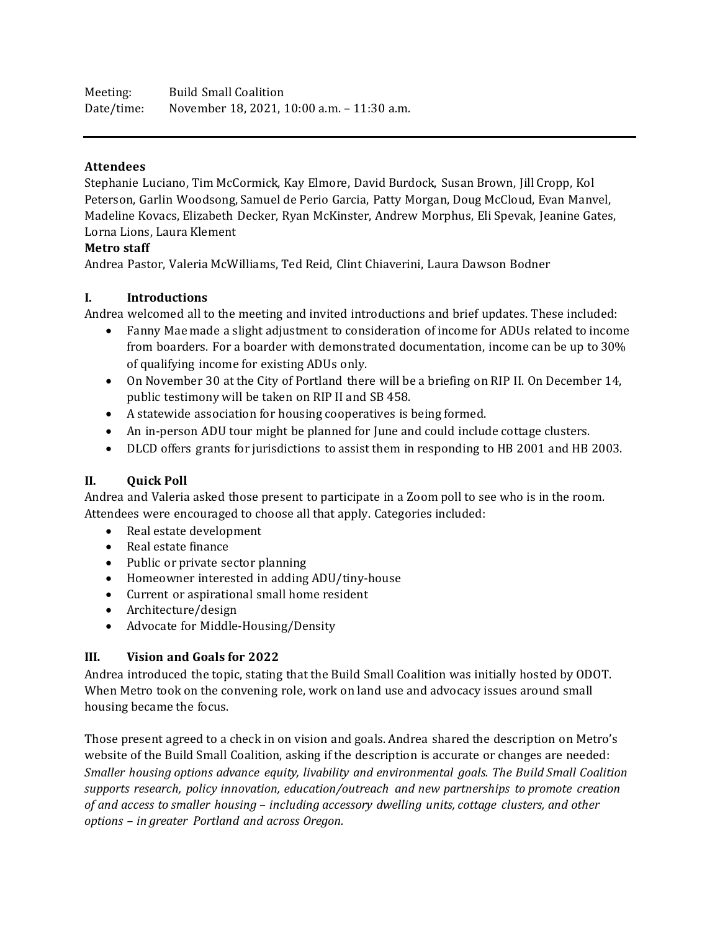Meeting: Build Small Coalition Date/time: November 18, 2021, 10:00 a.m. – 11:30 a.m.

### **Attendees**

Stephanie Luciano, Tim McCormick, Kay Elmore, David Burdock, Susan Brown, Jill Cropp, Kol Peterson, Garlin Woodsong, Samuel de Perio Garcia, Patty Morgan, Doug McCloud, Evan Manvel, Madeline Kovacs, Elizabeth Decker, Ryan McKinster, Andrew Morphus, Eli Spevak, Jeanine Gates, Lorna Lions, Laura Klement

#### **Metro staff**

Andrea Pastor, Valeria McWilliams, Ted Reid, Clint Chiaverini, Laura Dawson Bodner

# **I. Introductions**

Andrea welcomed all to the meeting and invited introductions and brief updates. These included:

- Fanny Mae made a slight adjustment to consideration of income for ADUs related to income from boarders. For a boarder with demonstrated documentation, income can be up to 30% of qualifying income for existing ADUs only.
- On November 30 at the City of Portland there will be a briefing on RIP II. On December 14, public testimony will be taken on RIP II and SB 458.
- A statewide association for housing cooperatives is being formed.
- An in-person ADU tour might be planned for June and could include cottage clusters.
- DLCD offers grants for jurisdictions to assist them in responding to HB 2001 and HB 2003.

### **II. Quick Poll**

Andrea and Valeria asked those present to participate in a Zoom poll to see who is in the room. Attendees were encouraged to choose all that apply. Categories included:

- Real estate development
- Real estate finance
- Public or private sector planning
- Homeowner interested in adding ADU/tiny-house
- Current or aspirational small home resident
- Architecture/design
- Advocate for Middle-Housing/Density

### **III. Vision and Goals for 2022**

Andrea introduced the topic, stating that the Build Small Coalition was initially hosted by ODOT. When Metro took on the convening role, work on land use and advocacy issues around small housing became the focus.

Those present agreed to a check in on vision and goals. Andrea shared the description on Metro's website of the Build Small Coalition, asking if the description is accurate or changes are needed: *Smaller housing options advance equity, livability and environmental goals. The Build Small Coalition supports research, policy innovation, education/outreach and new partnerships to promote creation of and access to smaller housing – including accessory dwelling units, cottage clusters, and other options – in greater Portland and across Oregon.*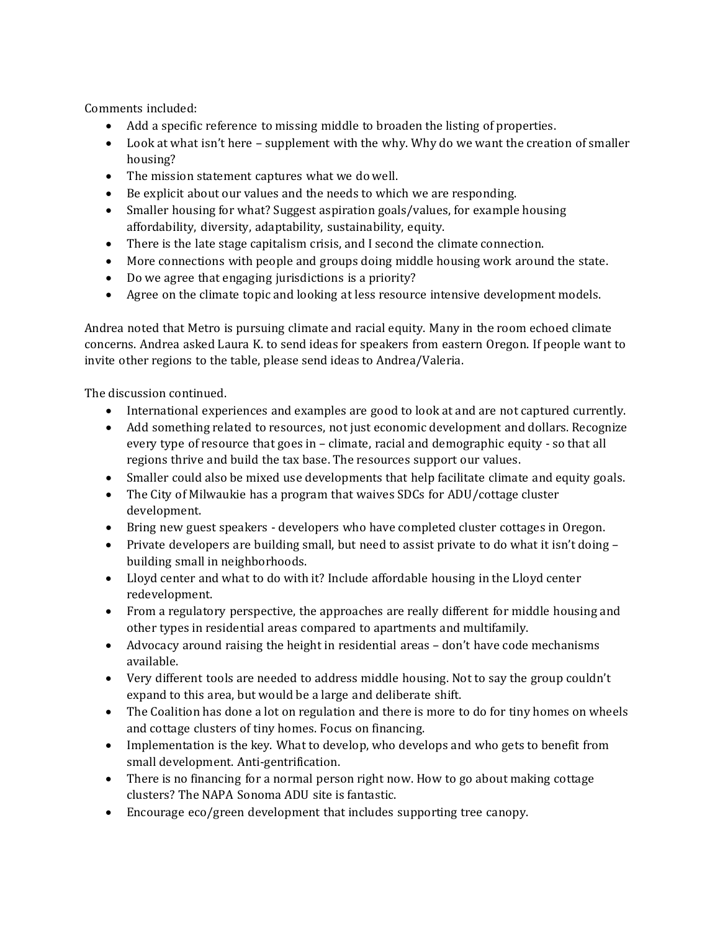Comments included:

- Add a specific reference to missing middle to broaden the listing of properties.
- Look at what isn't here supplement with the why. Why do we want the creation of smaller housing?
- The mission statement captures what we do well.
- Be explicit about our values and the needs to which we are responding.
- Smaller housing for what? Suggest aspiration goals/values, for example housing affordability, diversity, adaptability, sustainability, equity.
- There is the late stage capitalism crisis, and I second the climate connection.
- More connections with people and groups doing middle housing work around the state.
- Do we agree that engaging jurisdictions is a priority?
- Agree on the climate topic and looking at less resource intensive development models.

Andrea noted that Metro is pursuing climate and racial equity. Many in the room echoed climate concerns. Andrea asked Laura K. to send ideas for speakers from eastern Oregon. If people want to invite other regions to the table, please send ideas to Andrea/Valeria.

The discussion continued.

- International experiences and examples are good to look at and are not captured currently.
- Add something related to resources, not just economic development and dollars. Recognize every type of resource that goes in – climate, racial and demographic equity - so that all regions thrive and build the tax base. The resources support our values.
- Smaller could also be mixed use developments that help facilitate climate and equity goals.
- The City of Milwaukie has a program that waives SDCs for ADU/cottage cluster development.
- Bring new guest speakers developers who have completed cluster cottages in Oregon.
- Private developers are building small, but need to assist private to do what it isn't doing building small in neighborhoods.
- Lloyd center and what to do with it? Include affordable housing in the Lloyd center redevelopment.
- From a regulatory perspective, the approaches are really different for middle housing and other types in residential areas compared to apartments and multifamily.
- Advocacy around raising the height in residential areas don't have code mechanisms available.
- Very different tools are needed to address middle housing. Not to say the group couldn't expand to this area, but would be a large and deliberate shift.
- The Coalition has done a lot on regulation and there is more to do for tiny homes on wheels and cottage clusters of tiny homes. Focus on financing.
- Implementation is the key. What to develop, who develops and who gets to benefit from small development. Anti-gentrification.
- There is no financing for a normal person right now. How to go about making cottage clusters? The NAPA Sonoma ADU site is fantastic.
- Encourage eco/green development that includes supporting tree canopy.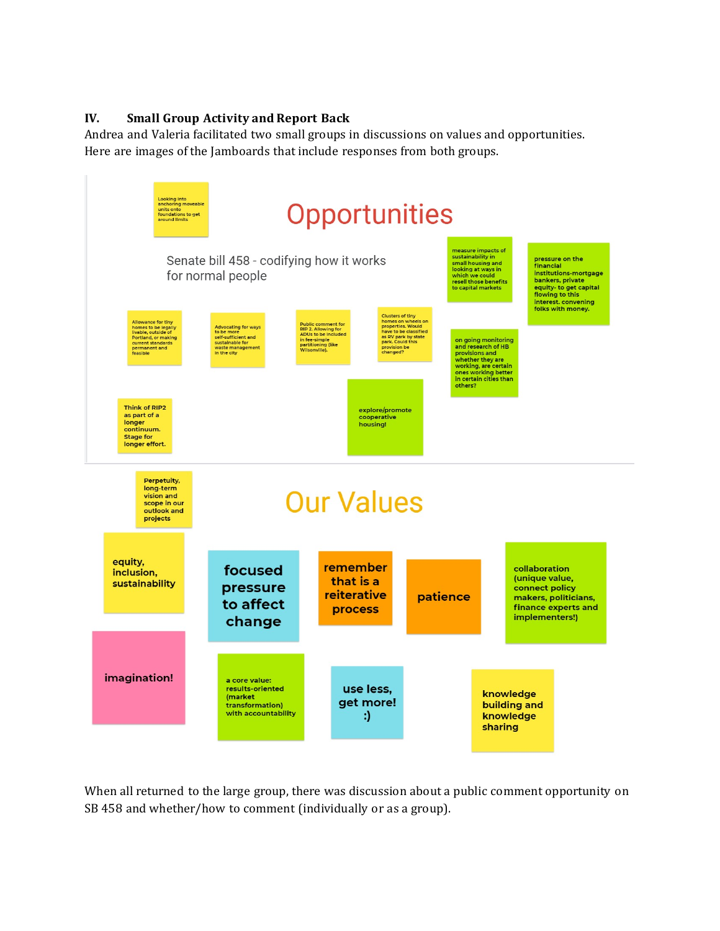# **IV. Small Group Activity and Report Back**

Andrea and Valeria facilitated two small groups in discussions on values and opportunities. Here are images of the Jamboards that include responses from both groups.



When all returned to the large group, there was discussion about a public comment opportunity on SB 458 and whether/how to comment (individually or as a group).